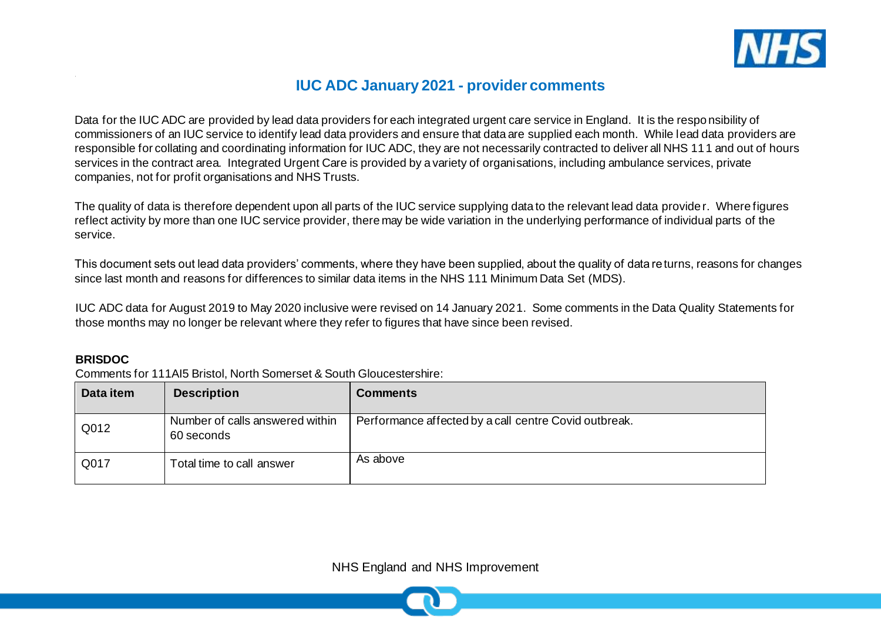

# **IUC ADC January 2021 - provider comments**

Data for the IUC ADC are provided by lead data providers for each integrated urgent care service in England. It is the responsibility of commissioners of an IUC service to identify lead data providers and ensure that data are supplied each month. While lead data providers are responsible for collating and coordinating information for IUC ADC, they are not necessarily contracted to deliver all NHS 111 and out of hours services in the contract area. Integrated Urgent Care is provided by a variety of organisations, including ambulance services, private companies, not for profit organisations and NHS Trusts.

The quality of data is therefore dependent upon all parts of the IUC service supplying data to the relevant lead data provider. Where figures reflect activity by more than one IUC service provider, there may be wide variation in the underlying performance of individual parts of the service.

This document sets out lead data providers' comments, where they have been supplied, about the quality of data returns, reasons for changes since last month and reasons for differences to similar data items in the NHS 111 Minimum Data Set (MDS).

IUC ADC data for August 2019 to May 2020 inclusive were revised on 14 January 2021. Some comments in the Data Quality Statements for those months may no longer be relevant where they refer to figures that have since been revised.

#### **BRISDOC**

Comments for 111AI5 Bristol, North Somerset & South Gloucestershire:

| Data item | <b>Description</b>                            | <b>Comments</b>                                       |
|-----------|-----------------------------------------------|-------------------------------------------------------|
| Q012      | Number of calls answered within<br>60 seconds | Performance affected by a call centre Covid outbreak. |
| Q017      | Total time to call answer                     | As above                                              |

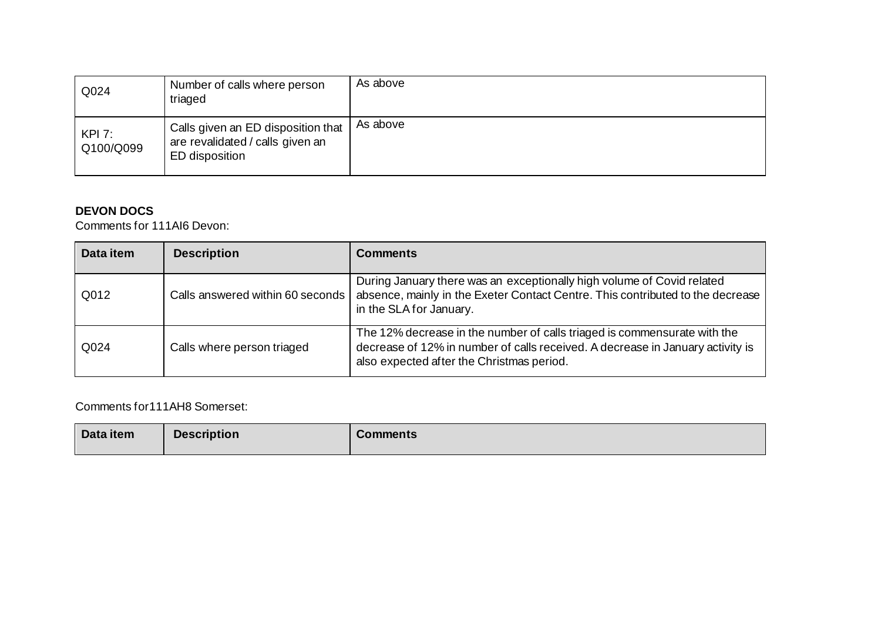| Q024                | Number of calls where person<br>triaged                                                  | As above |
|---------------------|------------------------------------------------------------------------------------------|----------|
| KPI 7:<br>Q100/Q099 | Calls given an ED disposition that<br>are revalidated / calls given an<br>ED disposition | As above |

### **DEVON DOCS**

Comments for 111AI6 Devon:

| Data item | <b>Description</b>                 | <b>Comments</b>                                                                                                                                                                                         |
|-----------|------------------------------------|---------------------------------------------------------------------------------------------------------------------------------------------------------------------------------------------------------|
| Q012      | Calls answered within 60 seconds I | During January there was an exceptionally high volume of Covid related<br>absence, mainly in the Exeter Contact Centre. This contributed to the decrease<br>in the SLA for January.                     |
| Q024      | Calls where person triaged         | The 12% decrease in the number of calls triaged is commensurate with the<br>decrease of 12% in number of calls received. A decrease in January activity is<br>also expected after the Christmas period. |

Comments for111AH8 Somerset:

| Data item | <b>Description</b> | <b>Comments</b> |
|-----------|--------------------|-----------------|
|           |                    |                 |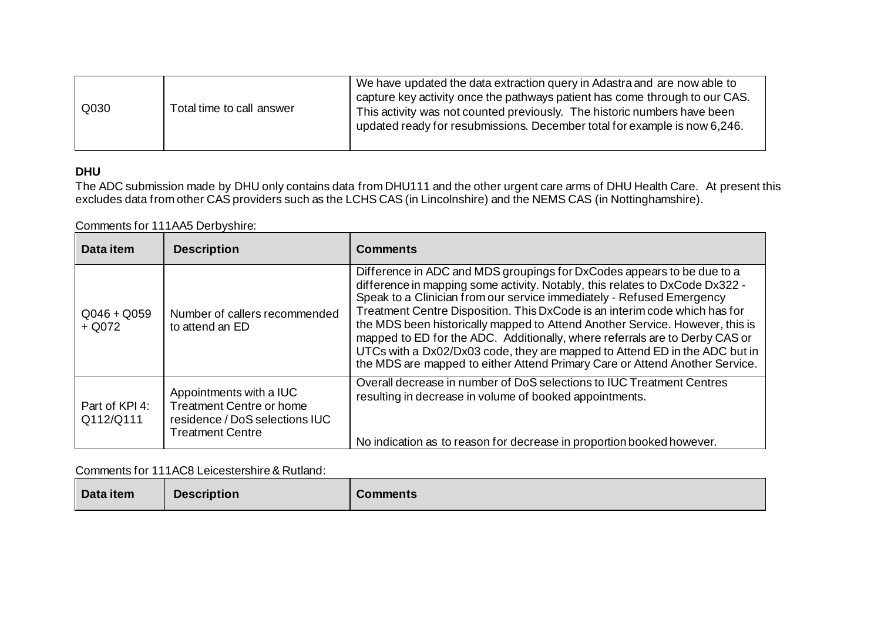| Q030<br>Total time to call answer | We have updated the data extraction query in Adastra and are now able to<br>capture key activity once the pathways patient has come through to our CAS.<br>This activity was not counted previously. The historic numbers have been<br>updated ready for resubmissions. December total for example is now 6,246. |
|-----------------------------------|------------------------------------------------------------------------------------------------------------------------------------------------------------------------------------------------------------------------------------------------------------------------------------------------------------------|
|-----------------------------------|------------------------------------------------------------------------------------------------------------------------------------------------------------------------------------------------------------------------------------------------------------------------------------------------------------------|

### **DHU**

The ADC submission made by DHU only contains data from DHU111 and the other urgent care arms of DHU Health Care. At present this excludes data from other CAS providers such as the LCHS CAS (in Lincolnshire) and the NEMS CAS (in Nottinghamshire).

Comments for 111AA5 Derbyshire:

| Data item                   | <b>Description</b>                                                                                                      | <b>Comments</b>                                                                                                                                                                                                                                                                                                                                                                                                                                                                                                                                                                                                                           |
|-----------------------------|-------------------------------------------------------------------------------------------------------------------------|-------------------------------------------------------------------------------------------------------------------------------------------------------------------------------------------------------------------------------------------------------------------------------------------------------------------------------------------------------------------------------------------------------------------------------------------------------------------------------------------------------------------------------------------------------------------------------------------------------------------------------------------|
| $Q046 + Q059$<br>$+$ Q072   | Number of callers recommended<br>to attend an ED                                                                        | Difference in ADC and MDS groupings for DxCodes appears to be due to a<br>difference in mapping some activity. Notably, this relates to DxCode Dx322 -<br>Speak to a Clinician from our service immediately - Refused Emergency<br>Treatment Centre Disposition. This DxCode is an interim code which has for<br>the MDS been historically mapped to Attend Another Service. However, this is<br>mapped to ED for the ADC. Additionally, where referrals are to Derby CAS or<br>UTCs with a Dx02/Dx03 code, they are mapped to Attend ED in the ADC but in<br>the MDS are mapped to either Attend Primary Care or Attend Another Service. |
| Part of KPI 4:<br>Q112/Q111 | Appointments with a IUC<br><b>Treatment Centre or home</b><br>residence / DoS selections IUC<br><b>Treatment Centre</b> | Overall decrease in number of DoS selections to IUC Treatment Centres<br>resulting in decrease in volume of booked appointments.<br>No indication as to reason for decrease in proportion booked however.                                                                                                                                                                                                                                                                                                                                                                                                                                 |

Comments for 111AC8 Leicestershire & Rutland:

| Data item | <b>Description</b> | <b>Comments</b> |
|-----------|--------------------|-----------------|
|-----------|--------------------|-----------------|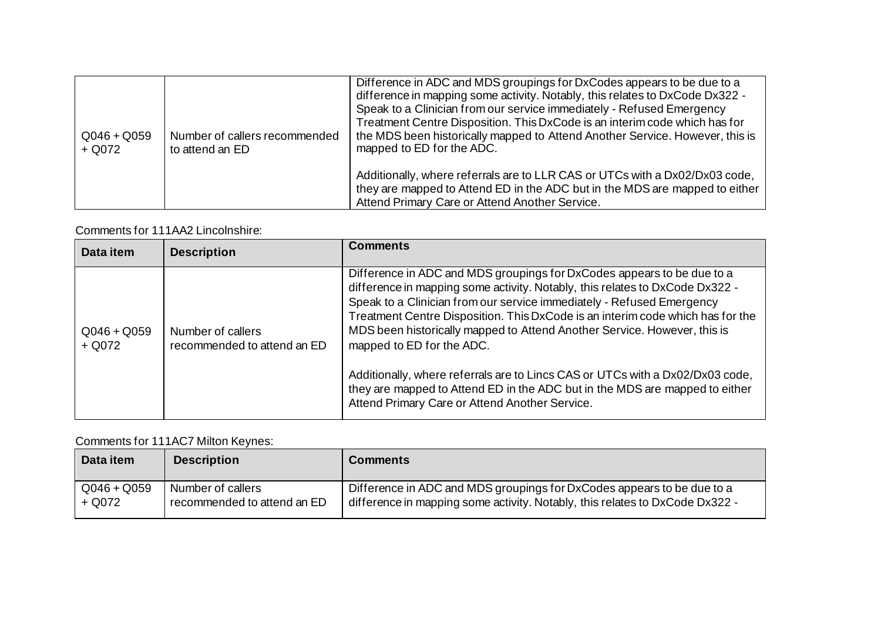| $Q046 + Q059$<br>$+$ Q072 | Number of callers recommended<br>to attend an ED | Difference in ADC and MDS groupings for DxCodes appears to be due to a<br>difference in mapping some activity. Notably, this relates to DxCode Dx322 -<br>Speak to a Clinician from our service immediately - Refused Emergency<br>Treatment Centre Disposition. This DxCode is an interim code which has for<br>the MDS been historically mapped to Attend Another Service. However, this is<br>mapped to ED for the ADC. |
|---------------------------|--------------------------------------------------|----------------------------------------------------------------------------------------------------------------------------------------------------------------------------------------------------------------------------------------------------------------------------------------------------------------------------------------------------------------------------------------------------------------------------|
|                           |                                                  | Additionally, where referrals are to LLR CAS or UTCs with a Dx02/Dx03 code,<br>they are mapped to Attend ED in the ADC but in the MDS are mapped to either<br>Attend Primary Care or Attend Another Service.                                                                                                                                                                                                               |

### Comments for 111AA2 Lincolnshire:

| Data item                 | <b>Description</b>                               | <b>Comments</b>                                                                                                                                                                                                                                                                                                                                                                                                                                                                                                                                                                                                                              |
|---------------------------|--------------------------------------------------|----------------------------------------------------------------------------------------------------------------------------------------------------------------------------------------------------------------------------------------------------------------------------------------------------------------------------------------------------------------------------------------------------------------------------------------------------------------------------------------------------------------------------------------------------------------------------------------------------------------------------------------------|
| $Q046 + Q059$<br>$+$ Q072 | Number of callers<br>recommended to attend an ED | Difference in ADC and MDS groupings for DxCodes appears to be due to a<br>difference in mapping some activity. Notably, this relates to DxCode Dx322 -<br>Speak to a Clinician from our service immediately - Refused Emergency<br>Treatment Centre Disposition. This DxCode is an interim code which has for the<br>MDS been historically mapped to Attend Another Service. However, this is<br>mapped to ED for the ADC.<br>Additionally, where referrals are to Lincs CAS or UTCs with a Dx02/Dx03 code,<br>they are mapped to Attend ED in the ADC but in the MDS are mapped to either<br>Attend Primary Care or Attend Another Service. |

### Comments for 111AC7 Milton Keynes:

| Data item     | <b>Description</b>          | <b>Comments</b>                                                              |
|---------------|-----------------------------|------------------------------------------------------------------------------|
| $Q046 + Q059$ | Number of callers           | Difference in ADC and MDS groupings for DxCodes appears to be due to a       |
| + Q072        | recommended to attend an ED | difference in mapping some activity. Notably, this relates to DxCode Dx322 - |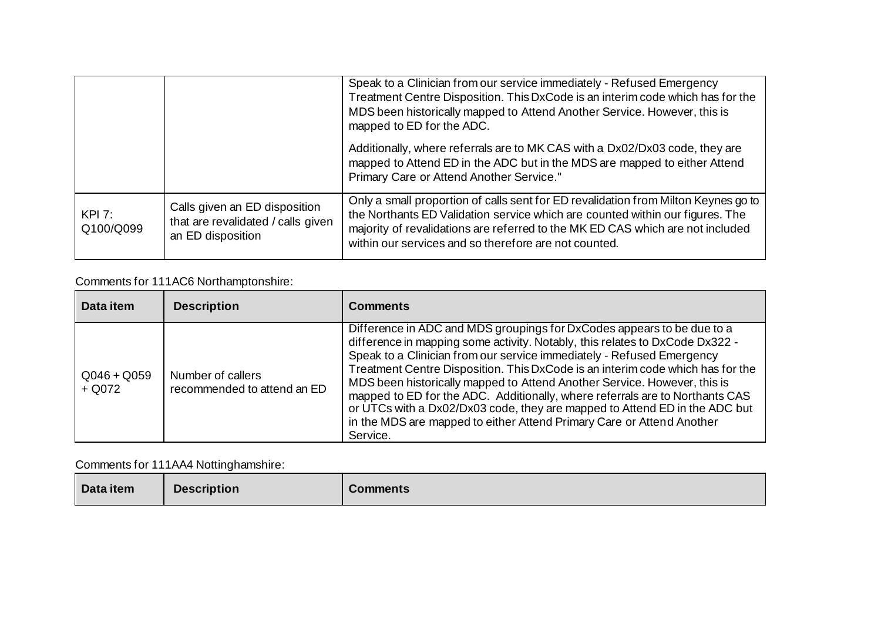|                     |                                                                                          | Speak to a Clinician from our service immediately - Refused Emergency<br>Treatment Centre Disposition. This DxCode is an interim code which has for the<br>MDS been historically mapped to Attend Another Service. However, this is<br>mapped to ED for the ADC.                                               |
|---------------------|------------------------------------------------------------------------------------------|----------------------------------------------------------------------------------------------------------------------------------------------------------------------------------------------------------------------------------------------------------------------------------------------------------------|
|                     |                                                                                          | Additionally, where referrals are to MK CAS with a Dx02/Dx03 code, they are<br>mapped to Attend ED in the ADC but in the MDS are mapped to either Attend<br>Primary Care or Attend Another Service."                                                                                                           |
| KPI 7:<br>Q100/Q099 | Calls given an ED disposition<br>that are revalidated / calls given<br>an ED disposition | Only a small proportion of calls sent for ED revalidation from Milton Keynes go to<br>the Northants ED Validation service which are counted within our figures. The<br>majority of revalidations are referred to the MK ED CAS which are not included<br>within our services and so therefore are not counted. |

# Comments for 111AC6 Northamptonshire:

| Data item                 | <b>Description</b>                               | <b>Comments</b>                                                                                                                                                                                                                                                                                                                                                                                                                                                                                                                                                                                                                                  |
|---------------------------|--------------------------------------------------|--------------------------------------------------------------------------------------------------------------------------------------------------------------------------------------------------------------------------------------------------------------------------------------------------------------------------------------------------------------------------------------------------------------------------------------------------------------------------------------------------------------------------------------------------------------------------------------------------------------------------------------------------|
| $Q046 + Q059$<br>$+$ Q072 | Number of callers<br>recommended to attend an ED | Difference in ADC and MDS groupings for DxCodes appears to be due to a<br>difference in mapping some activity. Notably, this relates to DxCode Dx322 -<br>Speak to a Clinician from our service immediately - Refused Emergency<br>Treatment Centre Disposition. This DxCode is an interim code which has for the<br>MDS been historically mapped to Attend Another Service. However, this is<br>mapped to ED for the ADC. Additionally, where referrals are to Northants CAS<br>or UTCs with a Dx02/Dx03 code, they are mapped to Attend ED in the ADC but<br>in the MDS are mapped to either Attend Primary Care or Attend Another<br>Service. |

# Comments for 111AA4 Nottinghamshire:

| Data item | <b>Description</b> | <b>Comments</b> |
|-----------|--------------------|-----------------|
|-----------|--------------------|-----------------|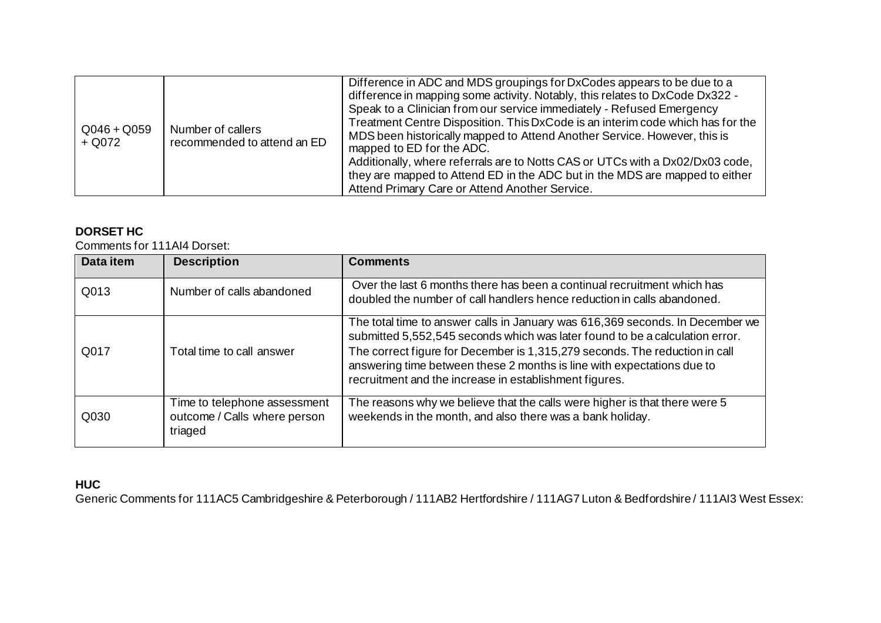| $Q046 + Q059$<br>$+$ Q072 | Number of callers<br>recommended to attend an ED | Difference in ADC and MDS groupings for DxCodes appears to be due to a<br>difference in mapping some activity. Notably, this relates to DxCode Dx322 -<br>Speak to a Clinician from our service immediately - Refused Emergency<br>Treatment Centre Disposition. This DxCode is an interim code which has for the<br>MDS been historically mapped to Attend Another Service. However, this is<br>mapped to ED for the ADC.<br>Additionally, where referrals are to Notts CAS or UTCs with a Dx02/Dx03 code,<br>they are mapped to Attend ED in the ADC but in the MDS are mapped to either<br>Attend Primary Care or Attend Another Service. |
|---------------------------|--------------------------------------------------|----------------------------------------------------------------------------------------------------------------------------------------------------------------------------------------------------------------------------------------------------------------------------------------------------------------------------------------------------------------------------------------------------------------------------------------------------------------------------------------------------------------------------------------------------------------------------------------------------------------------------------------------|
|---------------------------|--------------------------------------------------|----------------------------------------------------------------------------------------------------------------------------------------------------------------------------------------------------------------------------------------------------------------------------------------------------------------------------------------------------------------------------------------------------------------------------------------------------------------------------------------------------------------------------------------------------------------------------------------------------------------------------------------------|

# **DORSET HC**

Comments for 111AI4 Dorset:

| Data item | <b>Description</b>                                                      | <b>Comments</b>                                                                                                                                                                                                                                                                                                                                                                  |
|-----------|-------------------------------------------------------------------------|----------------------------------------------------------------------------------------------------------------------------------------------------------------------------------------------------------------------------------------------------------------------------------------------------------------------------------------------------------------------------------|
| Q013      | Number of calls abandoned                                               | Over the last 6 months there has been a continual recruitment which has<br>doubled the number of call handlers hence reduction in calls abandoned.                                                                                                                                                                                                                               |
| Q017      | Total time to call answer                                               | The total time to answer calls in January was 616,369 seconds. In December we<br>submitted 5,552,545 seconds which was later found to be a calculation error.<br>The correct figure for December is 1,315,279 seconds. The reduction in call<br>answering time between these 2 months is line with expectations due to<br>recruitment and the increase in establishment figures. |
| Q030      | Time to telephone assessment<br>outcome / Calls where person<br>triaged | The reasons why we believe that the calls were higher is that there were 5<br>weekends in the month, and also there was a bank holiday.                                                                                                                                                                                                                                          |

# **HUC**

Generic Comments for 111AC5 Cambridgeshire & Peterborough / 111AB2 Hertfordshire / 111AG7 Luton & Bedfordshire / 111AI3 West Essex: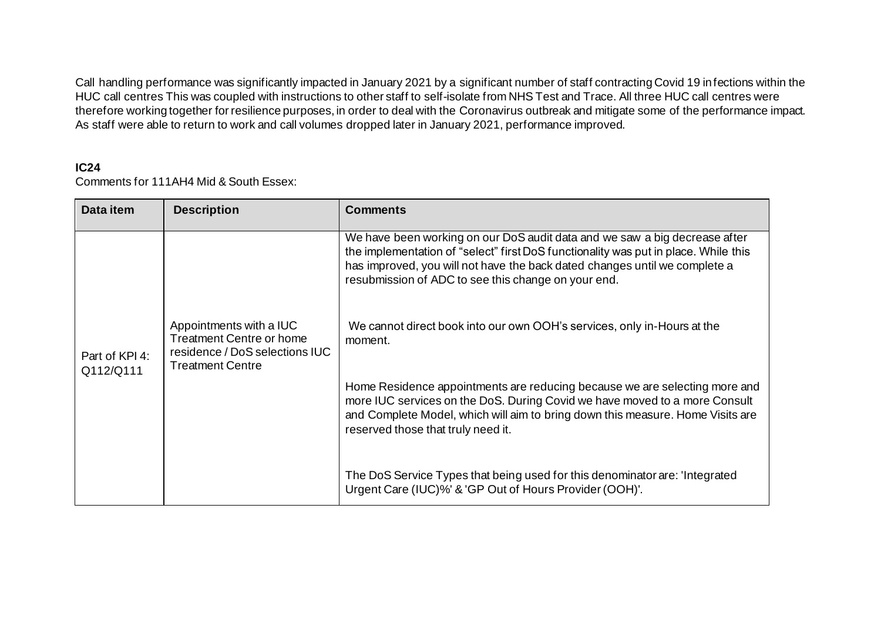Call handling performance was significantly impacted in January 2021 by a significant number of staff contracting Covid 19 infections within the HUC call centres This was coupled with instructions to other staff to self-isolate from NHS Test and Trace. All three HUC call centres were therefore working together for resilience purposes, in order to deal with the Coronavirus outbreak and mitigate some of the performance impact. As staff were able to return to work and call volumes dropped later in January 2021, performance improved.

#### **IC24**

Comments for 111AH4 Mid & South Essex:

| Data item                   | <b>Description</b>                                                                                                      | <b>Comments</b>                                                                                                                                                                                                                                                                                        |
|-----------------------------|-------------------------------------------------------------------------------------------------------------------------|--------------------------------------------------------------------------------------------------------------------------------------------------------------------------------------------------------------------------------------------------------------------------------------------------------|
| Part of KPI 4:<br>Q112/Q111 |                                                                                                                         | We have been working on our DoS audit data and we saw a big decrease after<br>the implementation of "select" first DoS functionality was put in place. While this<br>has improved, you will not have the back dated changes until we complete a<br>resubmission of ADC to see this change on your end. |
|                             | Appointments with a IUC<br><b>Treatment Centre or home</b><br>residence / DoS selections IUC<br><b>Treatment Centre</b> | We cannot direct book into our own OOH's services, only in-Hours at the<br>moment.                                                                                                                                                                                                                     |
|                             |                                                                                                                         | Home Residence appointments are reducing because we are selecting more and<br>more IUC services on the DoS. During Covid we have moved to a more Consult<br>and Complete Model, which will aim to bring down this measure. Home Visits are<br>reserved those that truly need it.                       |
|                             |                                                                                                                         | The DoS Service Types that being used for this denominator are: 'Integrated<br>Urgent Care (IUC)%' & 'GP Out of Hours Provider (OOH)'.                                                                                                                                                                 |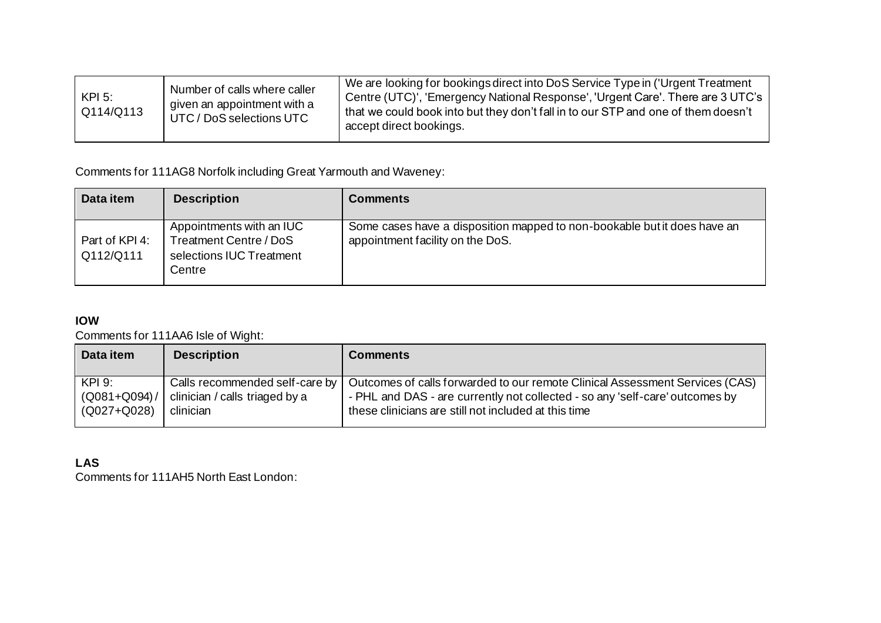| <b>KPI 5:</b><br>Q114/Q113 | Number of calls where caller<br>given an appointment with a<br>UTC / DoS selections UTC | We are looking for bookings direct into DoS Service Type in ('Urgent Treatment<br>Centre (UTC)', 'Emergency National Response', 'Urgent Care'. There are 3 UTC's<br>that we could book into but they don't fall in to our STP and one of them doesn't<br>accept direct bookings. |
|----------------------------|-----------------------------------------------------------------------------------------|----------------------------------------------------------------------------------------------------------------------------------------------------------------------------------------------------------------------------------------------------------------------------------|
|----------------------------|-----------------------------------------------------------------------------------------|----------------------------------------------------------------------------------------------------------------------------------------------------------------------------------------------------------------------------------------------------------------------------------|

Comments for 111AG8 Norfolk including Great Yarmouth and Waveney:

| Data item                   | <b>Description</b>                                                                       | <b>Comments</b>                                                                                              |
|-----------------------------|------------------------------------------------------------------------------------------|--------------------------------------------------------------------------------------------------------------|
| Part of KPI 4:<br>Q112/Q111 | Appointments with an IUC<br>Treatment Centre / DoS<br>selections IUC Treatment<br>Centre | Some cases have a disposition mapped to non-bookable but it does have an<br>appointment facility on the DoS. |

### **IOW**

Comments for 111AA6 Isle of Wight:

| Data item                                    | <b>Description</b>                          | <b>Comments</b>                                                                                                                                                                                                                                       |
|----------------------------------------------|---------------------------------------------|-------------------------------------------------------------------------------------------------------------------------------------------------------------------------------------------------------------------------------------------------------|
| $KPI$ 9:<br>$(Q081 + Q094) /$<br>(Q027+Q028) | clinician / calls triaged by a<br>clinician | Calls recommended self-care by   Outcomes of calls forwarded to our remote Clinical Assessment Services (CAS)<br>- PHL and DAS - are currently not collected - so any 'self-care' outcomes by<br>these clinicians are still not included at this time |

# **LAS**

Comments for 111AH5 North East London: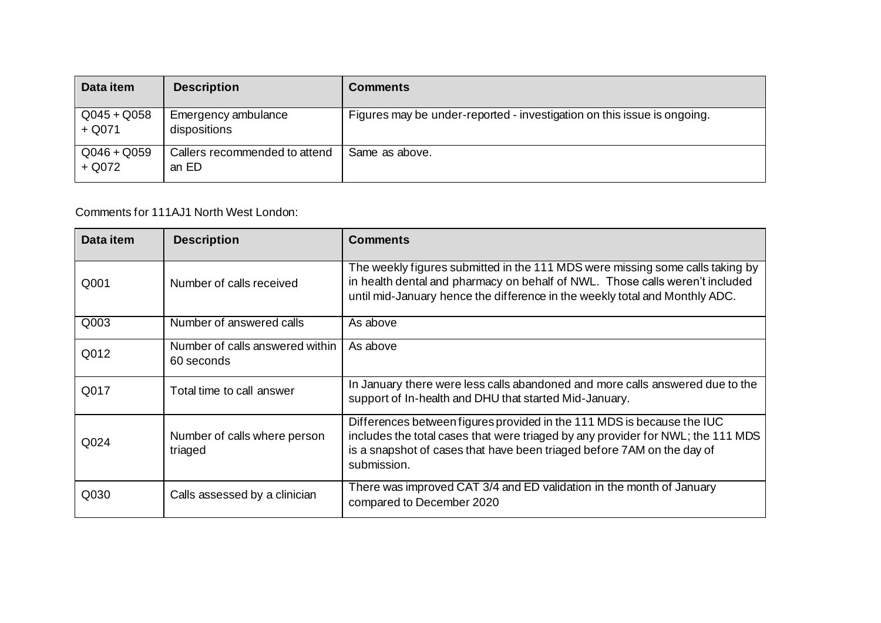| Data item                 | <b>Description</b>                     | <b>Comments</b>                                                         |
|---------------------------|----------------------------------------|-------------------------------------------------------------------------|
| $Q045 + Q058$<br>$+$ Q071 | Emergency ambulance<br>dispositions    | Figures may be under-reported - investigation on this issue is ongoing. |
| $Q046 + Q059$<br>+ Q072   | Callers recommended to attend<br>an ED | Same as above.                                                          |

Comments for 111AJ1 North West London:

| Data item | <b>Description</b>                            | <b>Comments</b>                                                                                                                                                                                                                                    |
|-----------|-----------------------------------------------|----------------------------------------------------------------------------------------------------------------------------------------------------------------------------------------------------------------------------------------------------|
| Q001      | Number of calls received                      | The weekly figures submitted in the 111 MDS were missing some calls taking by<br>in health dental and pharmacy on behalf of NWL. Those calls weren't included<br>until mid-January hence the difference in the weekly total and Monthly ADC.       |
| Q003      | Number of answered calls                      | As above                                                                                                                                                                                                                                           |
| Q012      | Number of calls answered within<br>60 seconds | As above                                                                                                                                                                                                                                           |
| Q017      | Total time to call answer                     | In January there were less calls abandoned and more calls answered due to the<br>support of In-health and DHU that started Mid-January.                                                                                                            |
| Q024      | Number of calls where person<br>triaged       | Differences between figures provided in the 111 MDS is because the IUC<br>includes the total cases that were triaged by any provider for NWL; the 111 MDS<br>is a snapshot of cases that have been triaged before 7AM on the day of<br>submission. |
| Q030      | Calls assessed by a clinician                 | There was improved CAT 3/4 and ED validation in the month of January<br>compared to December 2020                                                                                                                                                  |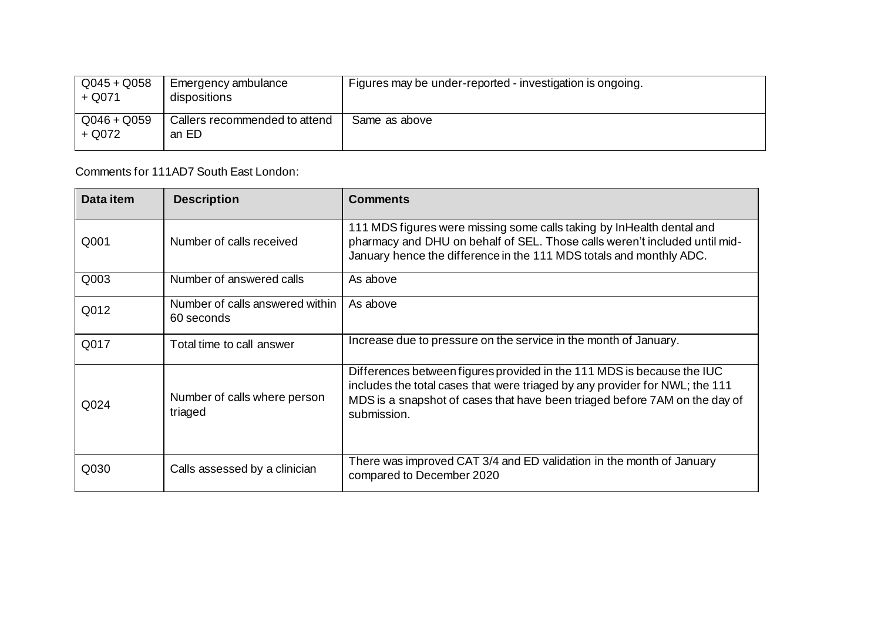| $Q045 + Q058$<br>$+$ Q071 | Emergency ambulance<br>dispositions    | Figures may be under-reported - investigation is ongoing. |
|---------------------------|----------------------------------------|-----------------------------------------------------------|
| $Q046 + Q059$<br>+ Q072   | Callers recommended to attend<br>an ED | Same as above                                             |

Comments for 111AD7 South East London:

| Data item | <b>Description</b>                            | <b>Comments</b>                                                                                                                                                                                                                                    |
|-----------|-----------------------------------------------|----------------------------------------------------------------------------------------------------------------------------------------------------------------------------------------------------------------------------------------------------|
| Q001      | Number of calls received                      | 111 MDS figures were missing some calls taking by InHealth dental and<br>pharmacy and DHU on behalf of SEL. Those calls weren't included until mid-<br>January hence the difference in the 111 MDS totals and monthly ADC.                         |
| Q003      | Number of answered calls                      | As above                                                                                                                                                                                                                                           |
| Q012      | Number of calls answered within<br>60 seconds | As above                                                                                                                                                                                                                                           |
| Q017      | Total time to call answer                     | Increase due to pressure on the service in the month of January.                                                                                                                                                                                   |
| Q024      | Number of calls where person<br>triaged       | Differences between figures provided in the 111 MDS is because the IUC<br>includes the total cases that were triaged by any provider for NWL; the 111<br>MDS is a snapshot of cases that have been triaged before 7AM on the day of<br>submission. |
| Q030      | Calls assessed by a clinician                 | There was improved CAT 3/4 and ED validation in the month of January<br>compared to December 2020                                                                                                                                                  |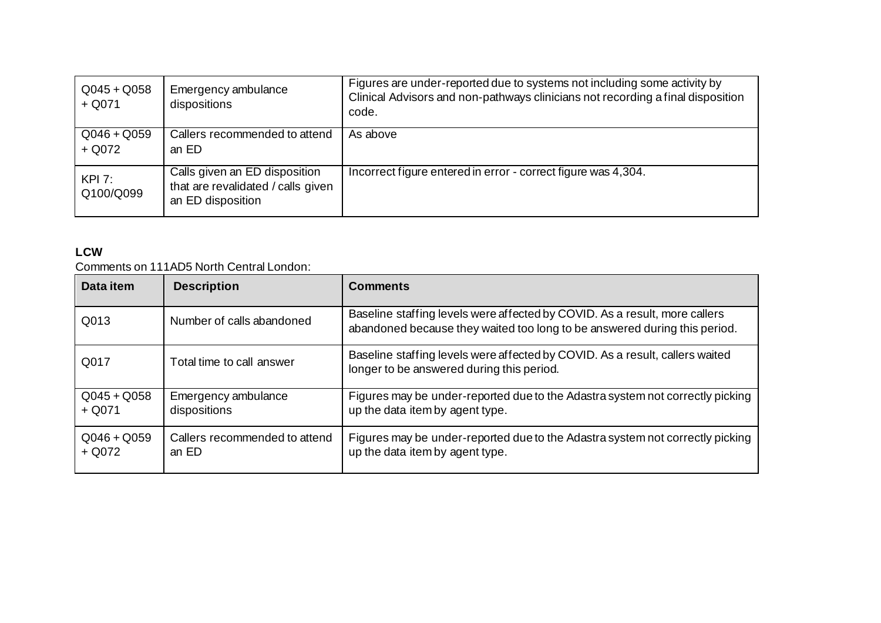| $Q045 + Q058$<br>$+$ Q071 | Emergency ambulance<br>dispositions                                                      | Figures are under-reported due to systems not including some activity by<br>Clinical Advisors and non-pathways clinicians not recording a final disposition<br>code. |
|---------------------------|------------------------------------------------------------------------------------------|----------------------------------------------------------------------------------------------------------------------------------------------------------------------|
| $Q046 + Q059$<br>$+$ Q072 | Callers recommended to attend<br>an ED                                                   | As above                                                                                                                                                             |
| KPI 7:<br>Q100/Q099       | Calls given an ED disposition<br>that are revalidated / calls given<br>an ED disposition | Incorrect figure entered in error - correct figure was 4,304.                                                                                                        |

### **LCW**

Comments on 111AD5 North Central London:

| Data item                 | <b>Description</b>                     | <b>Comments</b>                                                                                                                                         |
|---------------------------|----------------------------------------|---------------------------------------------------------------------------------------------------------------------------------------------------------|
| Q013                      | Number of calls abandoned              | Baseline staffing levels were affected by COVID. As a result, more callers<br>abandoned because they waited too long to be answered during this period. |
| Q017                      | Total time to call answer              | Baseline staffing levels were affected by COVID. As a result, callers waited<br>longer to be answered during this period.                               |
| $Q045 + Q058$<br>$+$ Q071 | Emergency ambulance<br>dispositions    | Figures may be under-reported due to the Adastra system not correctly picking<br>up the data item by agent type.                                        |
| $Q046 + Q059$<br>$+$ Q072 | Callers recommended to attend<br>an ED | Figures may be under-reported due to the Adastra system not correctly picking<br>up the data item by agent type.                                        |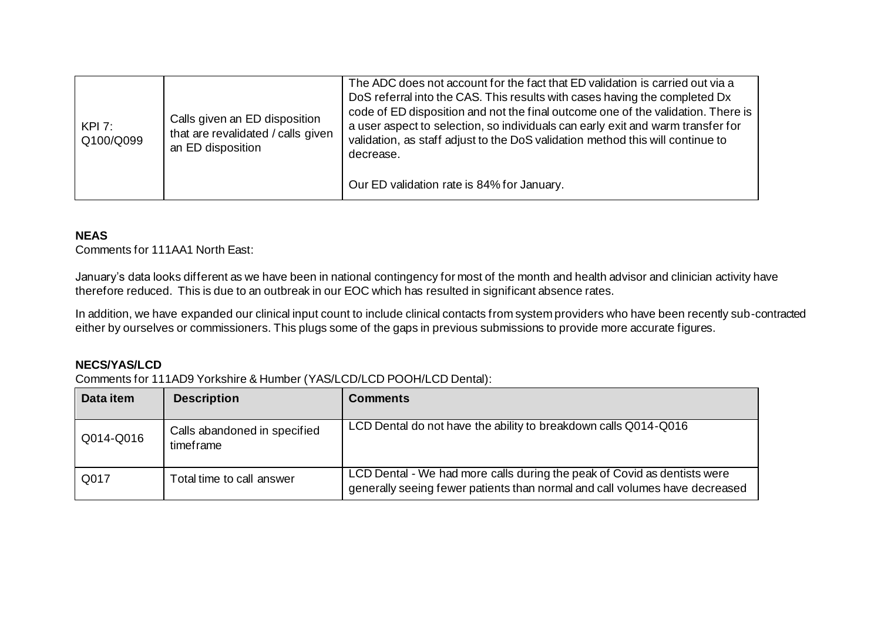| KPI 7:<br>Q100/Q099 | Calls given an ED disposition<br>that are revalidated / calls given<br>an ED disposition | The ADC does not account for the fact that ED validation is carried out via a<br>DoS referral into the CAS. This results with cases having the completed Dx<br>code of ED disposition and not the final outcome one of the validation. There is<br>a user aspect to selection, so individuals can early exit and warm transfer for<br>validation, as staff adjust to the DoS validation method this will continue to<br>decrease. |
|---------------------|------------------------------------------------------------------------------------------|-----------------------------------------------------------------------------------------------------------------------------------------------------------------------------------------------------------------------------------------------------------------------------------------------------------------------------------------------------------------------------------------------------------------------------------|
|                     |                                                                                          | Our ED validation rate is 84% for January.                                                                                                                                                                                                                                                                                                                                                                                        |

#### **NEAS**

Comments for 111AA1 North East:

January's data looks different as we have been in national contingency for most of the month and health advisor and clinician activity have therefore reduced. This is due to an outbreak in our EOC which has resulted in significant absence rates.

In addition, we have expanded our clinical input count to include clinical contacts from system providers who have been recently sub-contracted either by ourselves or commissioners. This plugs some of the gaps in previous submissions to provide more accurate figures.

#### **NECS/YAS/LCD**

Comments for 111AD9 Yorkshire & Humber (YAS/LCD/LCD POOH/LCD Dental):

| Data item | <b>Description</b>                        | <b>Comments</b>                                                                                                                                         |
|-----------|-------------------------------------------|---------------------------------------------------------------------------------------------------------------------------------------------------------|
| Q014-Q016 | Calls abandoned in specified<br>timeframe | LCD Dental do not have the ability to breakdown calls Q014-Q016                                                                                         |
| Q017      | Total time to call answer                 | LCD Dental - We had more calls during the peak of Covid as dentists were<br>generally seeing fewer patients than normal and call volumes have decreased |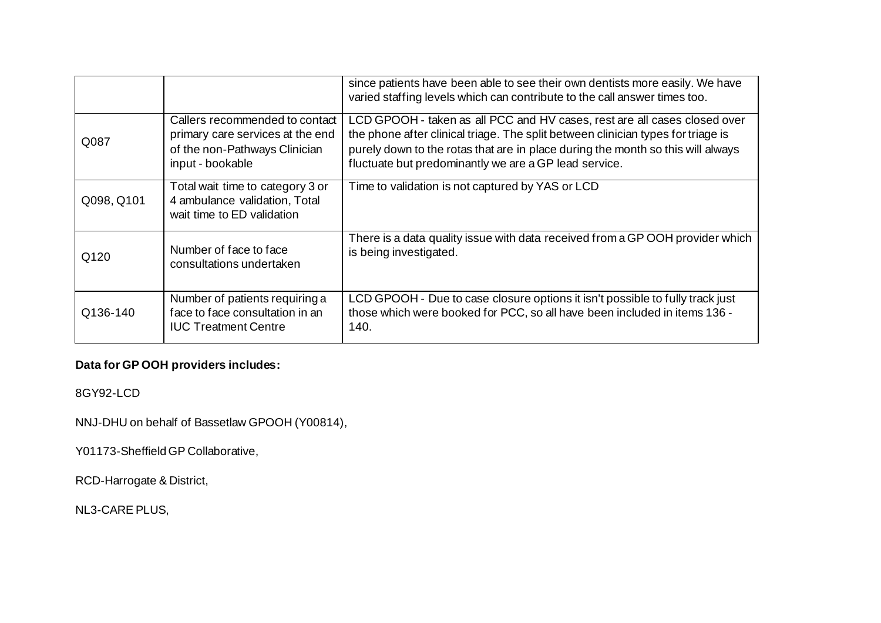|            |                                                                                                                         | since patients have been able to see their own dentists more easily. We have<br>varied staffing levels which can contribute to the call answer times too.                                                                                                                                                 |
|------------|-------------------------------------------------------------------------------------------------------------------------|-----------------------------------------------------------------------------------------------------------------------------------------------------------------------------------------------------------------------------------------------------------------------------------------------------------|
| Q087       | Callers recommended to contact<br>primary care services at the end<br>of the non-Pathways Clinician<br>input - bookable | LCD GPOOH - taken as all PCC and HV cases, rest are all cases closed over<br>the phone after clinical triage. The split between clinician types for triage is<br>purely down to the rotas that are in place during the month so this will always<br>fluctuate but predominantly we are a GP lead service. |
| Q098, Q101 | Total wait time to category 3 or<br>4 ambulance validation, Total<br>wait time to ED validation                         | Time to validation is not captured by YAS or LCD                                                                                                                                                                                                                                                          |
| Q120       | Number of face to face<br>consultations undertaken                                                                      | There is a data quality issue with data received from a GP OOH provider which<br>is being investigated.                                                                                                                                                                                                   |
| Q136-140   | Number of patients requiring a<br>face to face consultation in an<br><b>IUC Treatment Centre</b>                        | LCD GPOOH - Due to case closure options it isn't possible to fully track just<br>those which were booked for PCC, so all have been included in items 136 -<br>140.                                                                                                                                        |

# **Data for GP OOH providers includes:**

8GY92-LCD

NNJ-DHU on behalf of Bassetlaw GPOOH (Y00814),

Y01173-Sheffield GP Collaborative,

RCD-Harrogate & District,

NL3-CARE PLUS,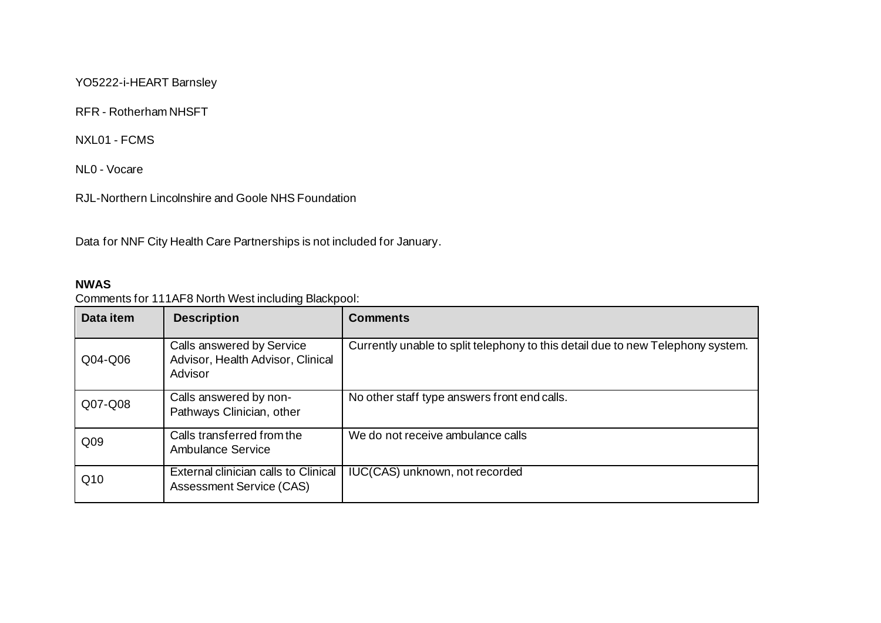YO5222-i-HEART Barnsley

RFR - Rotherham NHSFT

NXL01 - FCMS

NL0 - Vocare

RJL-Northern Lincolnshire and Goole NHS Foundation

Data for NNF City Health Care Partnerships is not included for January.

#### **NWAS**

### Comments for 111AF8 North West including Blackpool:

| Data item       | <b>Description</b>                                                        | <b>Comments</b>                                                                 |
|-----------------|---------------------------------------------------------------------------|---------------------------------------------------------------------------------|
| Q04-Q06         | Calls answered by Service<br>Advisor, Health Advisor, Clinical<br>Advisor | Currently unable to split telephony to this detail due to new Telephony system. |
| Q07-Q08         | Calls answered by non-<br>Pathways Clinician, other                       | No other staff type answers front end calls.                                    |
| Q <sub>09</sub> | Calls transferred from the<br>Ambulance Service                           | We do not receive ambulance calls                                               |
| Q10             | External clinician calls to Clinical<br><b>Assessment Service (CAS)</b>   | IUC(CAS) unknown, not recorded                                                  |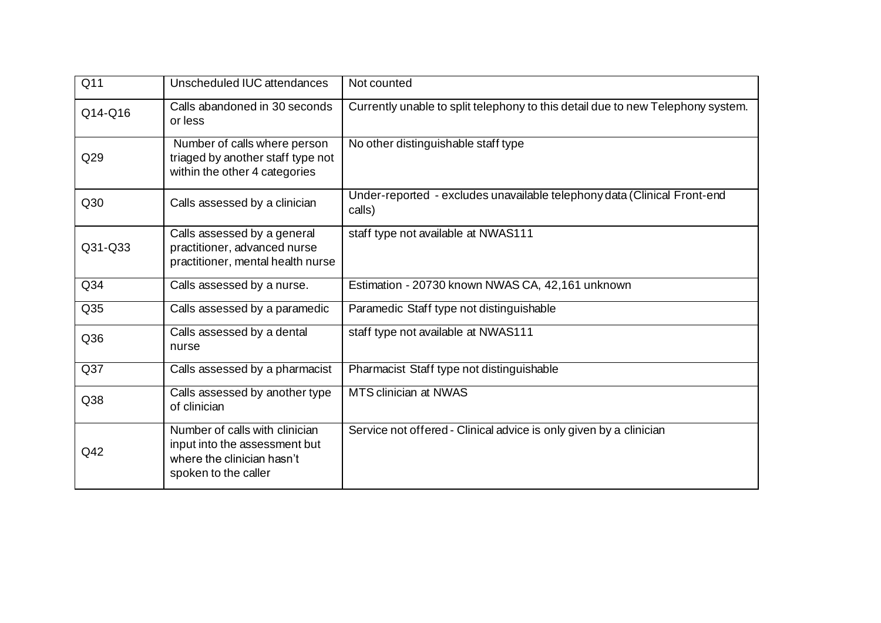| Q11              | Unscheduled IUC attendances                                                                                           | Not counted                                                                        |
|------------------|-----------------------------------------------------------------------------------------------------------------------|------------------------------------------------------------------------------------|
| Q14-Q16          | Calls abandoned in 30 seconds<br>or less                                                                              | Currently unable to split telephony to this detail due to new Telephony system.    |
| Q29              | Number of calls where person<br>triaged by another staff type not<br>within the other 4 categories                    | No other distinguishable staff type                                                |
| Q30              | Calls assessed by a clinician                                                                                         | Under-reported - excludes unavailable telephony data (Clinical Front-end<br>calls) |
| Q31-Q33          | Calls assessed by a general<br>practitioner, advanced nurse<br>practitioner, mental health nurse                      | staff type not available at NWAS111                                                |
| Q <sub>34</sub>  | Calls assessed by a nurse.                                                                                            | Estimation - 20730 known NWAS CA, 42,161 unknown                                   |
| Q35              | Calls assessed by a paramedic                                                                                         | Paramedic Staff type not distinguishable                                           |
| Q36              | Calls assessed by a dental<br>nurse                                                                                   | staff type not available at NWAS111                                                |
| $\overline{Q37}$ | Calls assessed by a pharmacist                                                                                        | Pharmacist Staff type not distinguishable                                          |
| Q38              | Calls assessed by another type<br>of clinician                                                                        | <b>MTS clinician at NWAS</b>                                                       |
| Q42              | Number of calls with clinician<br>input into the assessment but<br>where the clinician hasn't<br>spoken to the caller | Service not offered - Clinical advice is only given by a clinician                 |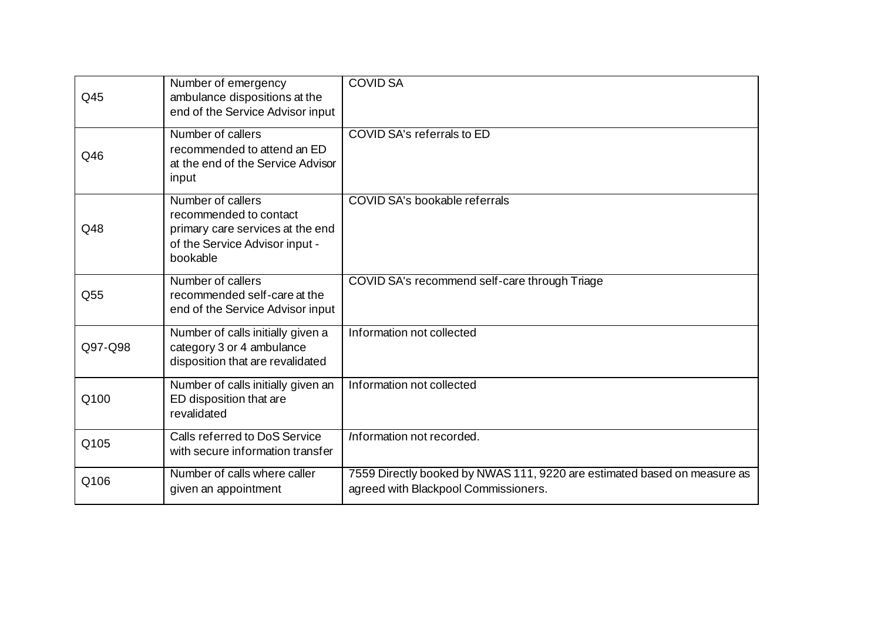| Q45     | Number of emergency<br>ambulance dispositions at the<br>end of the Service Advisor input                                      | <b>COVID SA</b>                                                                                                  |
|---------|-------------------------------------------------------------------------------------------------------------------------------|------------------------------------------------------------------------------------------------------------------|
| Q46     | Number of callers<br>recommended to attend an ED<br>at the end of the Service Advisor<br>input                                | COVID SA's referrals to ED                                                                                       |
| Q48     | Number of callers<br>recommended to contact<br>primary care services at the end<br>of the Service Advisor input -<br>bookable | COVID SA's bookable referrals                                                                                    |
| Q55     | Number of callers<br>recommended self-care at the<br>end of the Service Advisor input                                         | COVID SA's recommend self-care through Triage                                                                    |
| Q97-Q98 | Number of calls initially given a<br>category 3 or 4 ambulance<br>disposition that are revalidated                            | Information not collected                                                                                        |
| Q100    | Number of calls initially given an<br>ED disposition that are<br>revalidated                                                  | Information not collected                                                                                        |
| Q105    | Calls referred to DoS Service<br>with secure information transfer                                                             | Information not recorded.                                                                                        |
| Q106    | Number of calls where caller<br>given an appointment                                                                          | 7559 Directly booked by NWAS 111, 9220 are estimated based on measure as<br>agreed with Blackpool Commissioners. |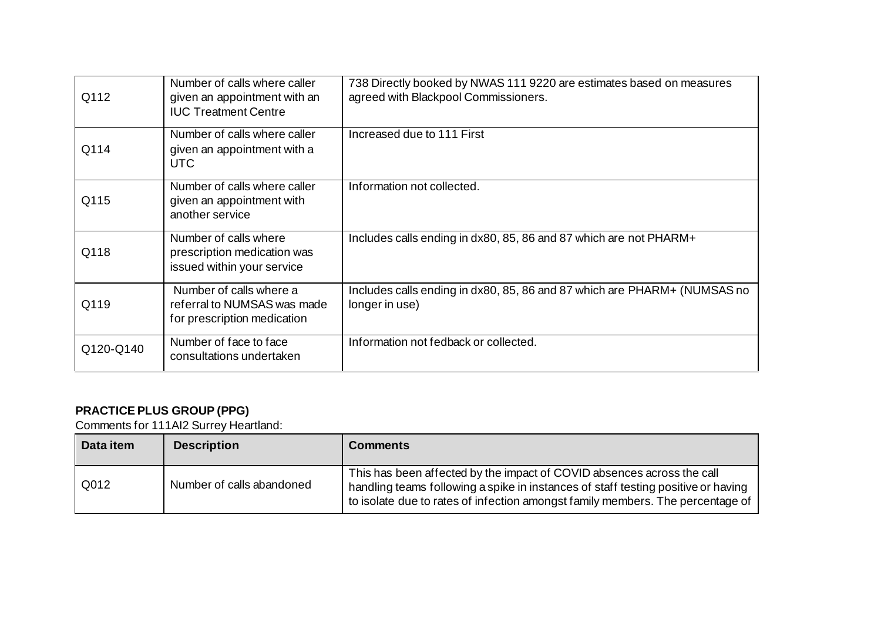| Q112      | Number of calls where caller<br>given an appointment with an<br><b>IUC Treatment Centre</b> | 738 Directly booked by NWAS 111 9220 are estimates based on measures<br>agreed with Blackpool Commissioners. |
|-----------|---------------------------------------------------------------------------------------------|--------------------------------------------------------------------------------------------------------------|
| Q114      | Number of calls where caller<br>given an appointment with a<br>UTC                          | Increased due to 111 First                                                                                   |
| Q115      | Number of calls where caller<br>given an appointment with<br>another service                | Information not collected.                                                                                   |
| Q118      | Number of calls where<br>prescription medication was<br>issued within your service          | Includes calls ending in dx80, 85, 86 and 87 which are not PHARM+                                            |
| Q119      | Number of calls where a<br>referral to NUMSAS was made<br>for prescription medication       | Includes calls ending in dx80, 85, 86 and 87 which are PHARM+ (NUMSAS no<br>longer in use)                   |
| Q120-Q140 | Number of face to face<br>consultations undertaken                                          | Information not fedback or collected.                                                                        |

# **PRACTICE PLUS GROUP (PPG)**

Comments for 111AI2 Surrey Heartland:

| Data item | <b>Description</b>        | <b>Comments</b>                                                                                                                                                                                                                               |
|-----------|---------------------------|-----------------------------------------------------------------------------------------------------------------------------------------------------------------------------------------------------------------------------------------------|
| Q012      | Number of calls abandoned | This has been affected by the impact of COVID absences across the call<br>handling teams following a spike in instances of staff testing positive or having<br>to isolate due to rates of infection amongst family members. The percentage of |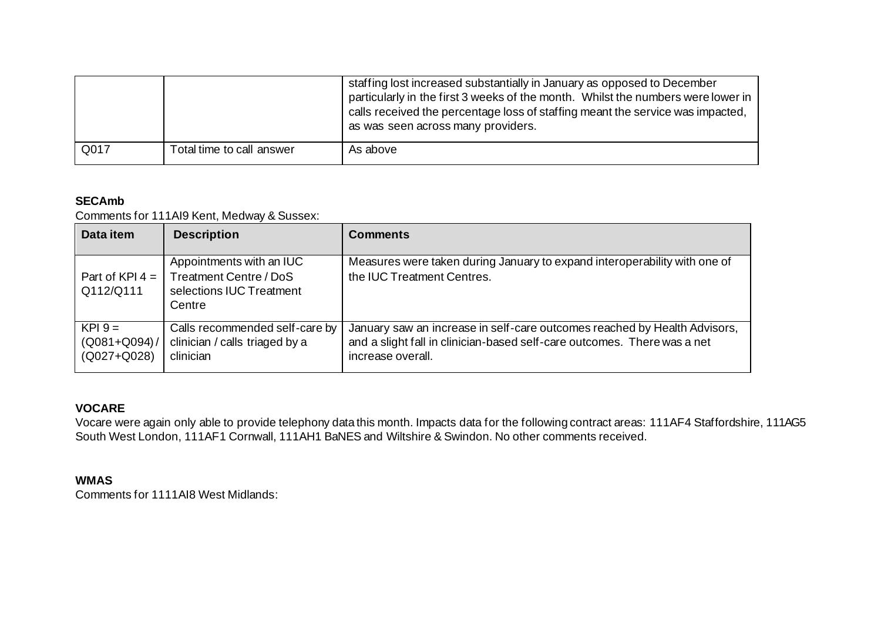|      |                           | staffing lost increased substantially in January as opposed to December<br>particularly in the first 3 weeks of the month. Whilst the numbers were lower in<br>calls received the percentage loss of staffing meant the service was impacted,<br>as was seen across many providers. |
|------|---------------------------|-------------------------------------------------------------------------------------------------------------------------------------------------------------------------------------------------------------------------------------------------------------------------------------|
| Q017 | Total time to call answer | As above                                                                                                                                                                                                                                                                            |

### **SECAmb**

Comments for 111AI9 Kent, Medway & Sussex:

| Data item                                     | <b>Description</b>                                                                       | <b>Comments</b>                                                                                                                                                            |
|-----------------------------------------------|------------------------------------------------------------------------------------------|----------------------------------------------------------------------------------------------------------------------------------------------------------------------------|
| Part of KPI 4 $=$<br>Q112/Q111                | Appointments with an IUC<br>Treatment Centre / DoS<br>selections IUC Treatment<br>Centre | Measures were taken during January to expand interoperability with one of<br>the IUC Treatment Centres.                                                                    |
| $KPI 9 =$<br>$(Q081 + Q094) /$<br>(Q027+Q028) | Calls recommended self-care by<br>clinician / calls triaged by a<br>clinician            | January saw an increase in self-care outcomes reached by Health Advisors,<br>and a slight fall in clinician-based self-care outcomes. There was a net<br>increase overall. |

#### **VOCARE**

Vocare were again only able to provide telephony data this month. Impacts data for the following contract areas: 111AF4 Staffordshire, 111AG5 South West London, 111AF1 Cornwall, 111AH1 BaNES and Wiltshire & Swindon. No other comments received.

#### **WMAS**

Comments for 1111AI8 West Midlands: